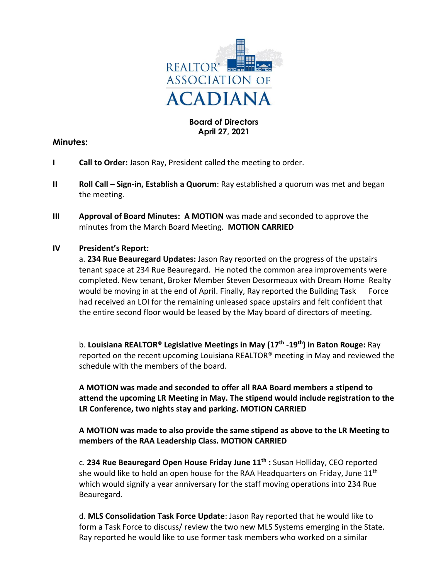

#### **Board of Directors April 27, 2021**

## **Minutes:**

- **I Call to Order:** Jason Ray, President called the meeting to order.
- **II Roll Call Sign-in, Establish a Quorum**: Ray established a quorum was met and began the meeting.
- **III Approval of Board Minutes: A MOTION** was made and seconded to approve the minutes from the March Board Meeting. **MOTION CARRIED**

# **IV President's Report:**

a. **234 Rue Beauregard Updates:** Jason Ray reported on the progress of the upstairs tenant space at 234 Rue Beauregard. He noted the common area improvements were completed. New tenant, Broker Member Steven Desormeaux with Dream Home Realty would be moving in at the end of April. Finally, Ray reported the Building Task Force had received an LOI for the remaining unleased space upstairs and felt confident that the entire second floor would be leased by the May board of directors of meeting.

b. **Louisiana REALTOR® Legislative Meetings in May (17th -19th) in Baton Rouge:** Ray reported on the recent upcoming Louisiana REALTOR® meeting in May and reviewed the schedule with the members of the board.

**A MOTION was made and seconded to offer all RAA Board members a stipend to attend the upcoming LR Meeting in May. The stipend would include registration to the LR Conference, two nights stay and parking. MOTION CARRIED**

**A MOTION was made to also provide the same stipend as above to the LR Meeting to members of the RAA Leadership Class. MOTION CARRIED**

c. **234 Rue Beauregard Open House Friday June 11th :** Susan Holliday, CEO reported she would like to hold an open house for the RAA Headquarters on Friday, June  $11<sup>th</sup>$ which would signify a year anniversary for the staff moving operations into 234 Rue Beauregard.

d. **MLS Consolidation Task Force Update**: Jason Ray reported that he would like to form a Task Force to discuss/ review the two new MLS Systems emerging in the State. Ray reported he would like to use former task members who worked on a similar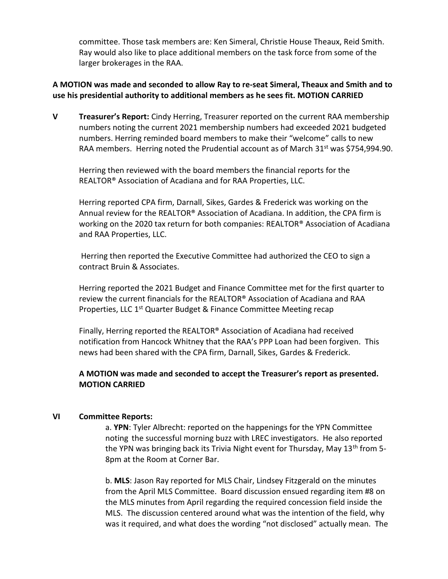committee. Those task members are: Ken Simeral, Christie House Theaux, Reid Smith. Ray would also like to place additional members on the task force from some of the larger brokerages in the RAA.

## **A MOTION was made and seconded to allow Ray to re-seat Simeral, Theaux and Smith and to use his presidential authority to additional members as he sees fit. MOTION CARRIED**

**V Treasurer's Report:** Cindy Herring, Treasurer reported on the current RAA membership numbers noting the current 2021 membership numbers had exceeded 2021 budgeted numbers. Herring reminded board members to make their "welcome" calls to new RAA members. Herring noted the Prudential account as of March 31<sup>st</sup> was \$754,994.90.

Herring then reviewed with the board members the financial reports for the REALTOR® Association of Acadiana and for RAA Properties, LLC.

Herring reported CPA firm, Darnall, Sikes, Gardes & Frederick was working on the Annual review for the REALTOR® Association of Acadiana. In addition, the CPA firm is working on the 2020 tax return for both companies: REALTOR® Association of Acadiana and RAA Properties, LLC.

Herring then reported the Executive Committee had authorized the CEO to sign a contract Bruin & Associates.

Herring reported the 2021 Budget and Finance Committee met for the first quarter to review the current financials for the REALTOR® Association of Acadiana and RAA Properties, LLC 1<sup>st</sup> Quarter Budget & Finance Committee Meeting recap

Finally, Herring reported the REALTOR® Association of Acadiana had received notification from Hancock Whitney that the RAA's PPP Loan had been forgiven. This news had been shared with the CPA firm, Darnall, Sikes, Gardes & Frederick.

## **A MOTION was made and seconded to accept the Treasurer's report as presented. MOTION CARRIED**

## **VI Committee Reports:**

a. **YPN**: Tyler Albrecht: reported on the happenings for the YPN Committee noting the successful morning buzz with LREC investigators. He also reported the YPN was bringing back its Trivia Night event for Thursday, May 13<sup>th</sup> from 5-8pm at the Room at Corner Bar.

b. **MLS**: Jason Ray reported for MLS Chair, Lindsey Fitzgerald on the minutes from the April MLS Committee. Board discussion ensued regarding item #8 on the MLS minutes from April regarding the required concession field inside the MLS. The discussion centered around what was the intention of the field, why was it required, and what does the wording "not disclosed" actually mean. The